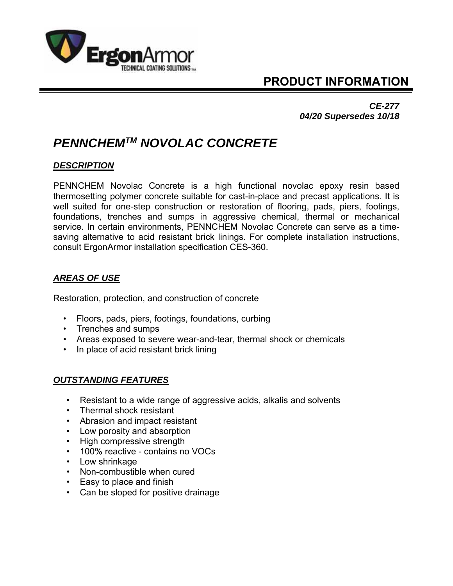

# **PRODUCT INFORMATION**

*CE-277 04/20 Supersedes 10/18*

# *PENNCHEMTM NOVOLAC CONCRETE*

## *DESCRIPTION*

PENNCHEM Novolac Concrete is a high functional novolac epoxy resin based thermosetting polymer concrete suitable for cast-in-place and precast applications. It is well suited for one-step construction or restoration of flooring, pads, piers, footings, foundations, trenches and sumps in aggressive chemical, thermal or mechanical service. In certain environments, PENNCHEM Novolac Concrete can serve as a timesaving alternative to acid resistant brick linings. For complete installation instructions, consult ErgonArmor installation specification CES-360.

## *AREAS OF USE*

Restoration, protection, and construction of concrete

- Floors, pads, piers, footings, foundations, curbing
- Trenches and sumps
- Areas exposed to severe wear-and-tear, thermal shock or chemicals
- In place of acid resistant brick lining

## *OUTSTANDING FEATURES*

- Resistant to a wide range of aggressive acids, alkalis and solvents
- Thermal shock resistant
- Abrasion and impact resistant
- Low porosity and absorption
- High compressive strength
- 100% reactive contains no VOCs
- Low shrinkage
- Non-combustible when cured
- Easy to place and finish
- Can be sloped for positive drainage